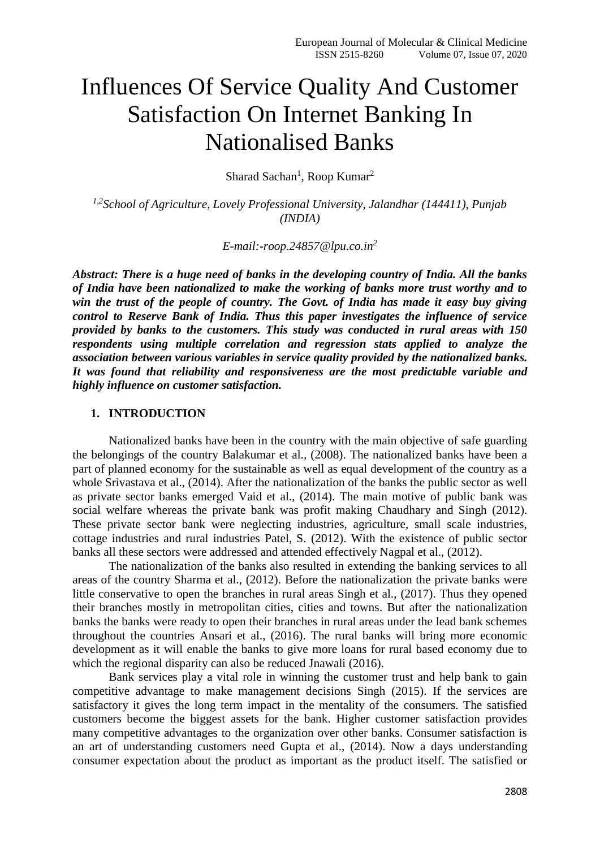# Influences Of Service Quality And Customer Satisfaction On Internet Banking In Nationalised Banks

Sharad Sachan<sup>1</sup>, Roop Kumar<sup>2</sup>

*1,2 School of Agriculture, Lovely Professional University, Jalandhar (144411), Punjab (INDIA)*

*E-mail:-roop.24857@lpu.co.in<sup>2</sup>*

*Abstract: There is a huge need of banks in the developing country of India. All the banks of India have been nationalized to make the working of banks more trust worthy and to win the trust of the people of country. The Govt. of India has made it easy buy giving control to Reserve Bank of India. Thus this paper investigates the influence of service provided by banks to the customers. This study was conducted in rural areas with 150 respondents using multiple correlation and regression stats applied to analyze the association between various variables in service quality provided by the nationalized banks. It was found that reliability and responsiveness are the most predictable variable and highly influence on customer satisfaction.*

#### **1. INTRODUCTION**

Nationalized banks have been in the country with the main objective of safe guarding the belongings of the country Balakumar et al., (2008). The nationalized banks have been a part of planned economy for the sustainable as well as equal development of the country as a whole Srivastava et al., (2014). After the nationalization of the banks the public sector as well as private sector banks emerged Vaid et al., (2014). The main motive of public bank was social welfare whereas the private bank was profit making Chaudhary and Singh (2012). These private sector bank were neglecting industries, agriculture, small scale industries, cottage industries and rural industries Patel, S. (2012). With the existence of public sector banks all these sectors were addressed and attended effectively Nagpal et al., (2012).

The nationalization of the banks also resulted in extending the banking services to all areas of the country Sharma et al., (2012). Before the nationalization the private banks were little conservative to open the branches in rural areas Singh et al., (2017). Thus they opened their branches mostly in metropolitan cities, cities and towns. But after the nationalization banks the banks were ready to open their branches in rural areas under the lead bank schemes throughout the countries Ansari et al., (2016). The rural banks will bring more economic development as it will enable the banks to give more loans for rural based economy due to which the regional disparity can also be reduced Jnawali (2016).

Bank services play a vital role in winning the customer trust and help bank to gain competitive advantage to make management decisions Singh (2015). If the services are satisfactory it gives the long term impact in the mentality of the consumers. The satisfied customers become the biggest assets for the bank. Higher customer satisfaction provides many competitive advantages to the organization over other banks. Consumer satisfaction is an art of understanding customers need Gupta et al., (2014). Now a days understanding consumer expectation about the product as important as the product itself. The satisfied or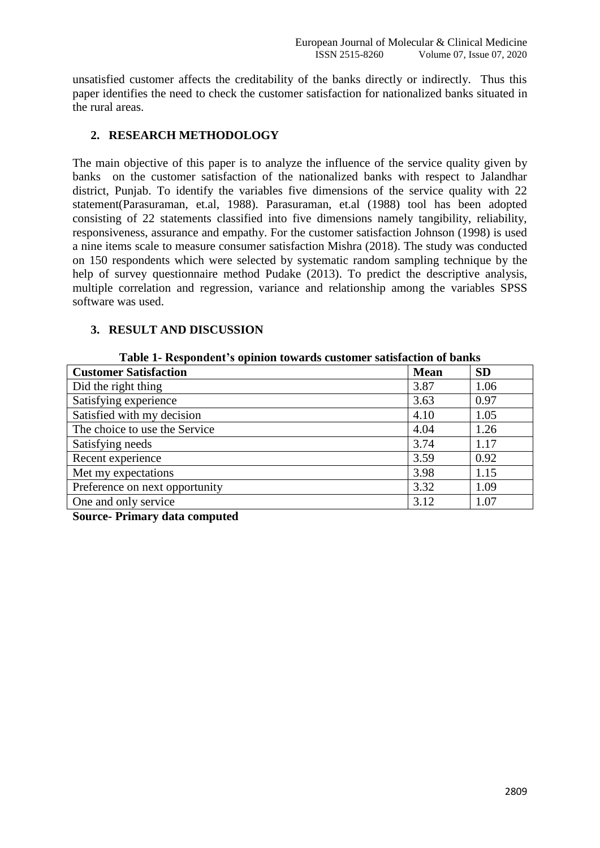unsatisfied customer affects the creditability of the banks directly or indirectly. Thus this paper identifies the need to check the customer satisfaction for nationalized banks situated in the rural areas.

### **2. RESEARCH METHODOLOGY**

The main objective of this paper is to analyze the influence of the service quality given by banks on the customer satisfaction of the nationalized banks with respect to Jalandhar district, Punjab. To identify the variables five dimensions of the service quality with 22 statement(Parasuraman, et.al, 1988). Parasuraman, et.al (1988) tool has been adopted consisting of 22 statements classified into five dimensions namely tangibility, reliability, responsiveness, assurance and empathy. For the customer satisfaction Johnson (1998) is used a nine items scale to measure consumer satisfaction Mishra (2018). The study was conducted on 150 respondents which were selected by systematic random sampling technique by the help of survey questionnaire method Pudake (2013). To predict the descriptive analysis, multiple correlation and regression, variance and relationship among the variables SPSS software was used.

#### **3. RESULT AND DISCUSSION**

**Table 1- Respondent's opinion towards customer satisfaction of banks**

| <b>Customer Satisfaction</b>   | <b>Mean</b> | <b>SD</b> |  |  |
|--------------------------------|-------------|-----------|--|--|
| Did the right thing            | 3.87        | 1.06      |  |  |
| Satisfying experience          | 3.63        | 0.97      |  |  |
| Satisfied with my decision     | 4.10        | 1.05      |  |  |
| The choice to use the Service  | 4.04        | 1.26      |  |  |
| Satisfying needs               | 3.74        | 1.17      |  |  |
| Recent experience              | 3.59        | 0.92      |  |  |
| Met my expectations            | 3.98        | 1.15      |  |  |
| Preference on next opportunity | 3.32        | 1.09      |  |  |
| One and only service           | 3.12        | 1.07      |  |  |

**Source- Primary data computed**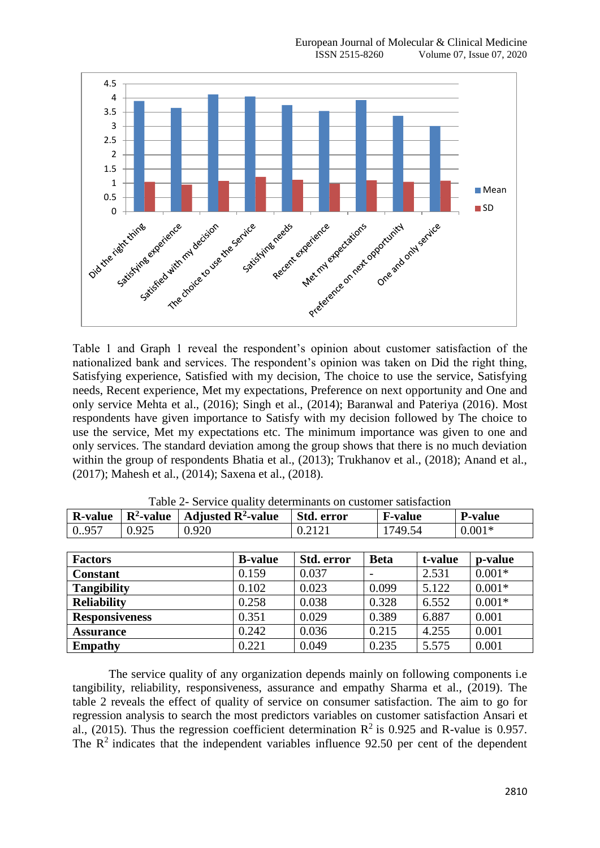

Table 1 and Graph 1 reveal the respondent's opinion about customer satisfaction of the nationalized bank and services. The respondent's opinion was taken on Did the right thing, Satisfying experience, Satisfied with my decision, The choice to use the service, Satisfying needs, Recent experience, Met my expectations, Preference on next opportunity and One and only service Mehta et al., (2016); Singh et al., (2014); Baranwal and Pateriya (2016). Most respondents have given importance to Satisfy with my decision followed by The choice to use the service, Met my expectations etc. The minimum importance was given to one and only services. The standard deviation among the group shows that there is no much deviation within the group of respondents Bhatia et al., (2013); Trukhanov et al., (2018); Anand et al., (2017); Mahesh et al., (2014); Saxena et al., (2018).

| <b>R-value</b>        | $\mathbb{R}^2$ -value | Adjusted $\mathbb{R}^2$ -value |                | Std. error | <b>F-value</b> |         | <b>P-value</b> |
|-----------------------|-----------------------|--------------------------------|----------------|------------|----------------|---------|----------------|
| 0.957                 | 0.925                 | 0.920                          |                | 0.2121     | 1749.54        |         | $0.001*$       |
|                       |                       |                                |                |            |                |         |                |
| <b>Factors</b>        |                       |                                | <b>B-value</b> | Std. error | <b>Beta</b>    | t-value | p-value        |
| <b>Constant</b>       |                       |                                | 0.159          | 0.037      |                | 2.531   | $0.001*$       |
| <b>Tangibility</b>    |                       |                                | 0.102          | 0.023      | 0.099          | 5.122   | $0.001*$       |
| <b>Reliability</b>    |                       |                                | 0.258          | 0.038      | 0.328          | 6.552   | $0.001*$       |
| <b>Responsiveness</b> |                       |                                | 0.351          | 0.029      | 0.389          | 6.887   | 0.001          |
| <b>Assurance</b>      |                       |                                | 0.242          | 0.036      | 0.215          | 4.255   | 0.001          |
| <b>Empathy</b>        |                       |                                | 0.221          | 0.049      | 0.235          | 5.575   | 0.001          |

Table 2- Service quality determinants on customer satisfaction

The service quality of any organization depends mainly on following components i.e tangibility, reliability, responsiveness, assurance and empathy Sharma et al., (2019). The table 2 reveals the effect of quality of service on consumer satisfaction. The aim to go for regression analysis to search the most predictors variables on customer satisfaction Ansari et al., (2015). Thus the regression coefficient determination  $\mathbb{R}^2$  is 0.925 and R-value is 0.957. The  $\mathbb{R}^2$  indicates that the independent variables influence 92.50 per cent of the dependent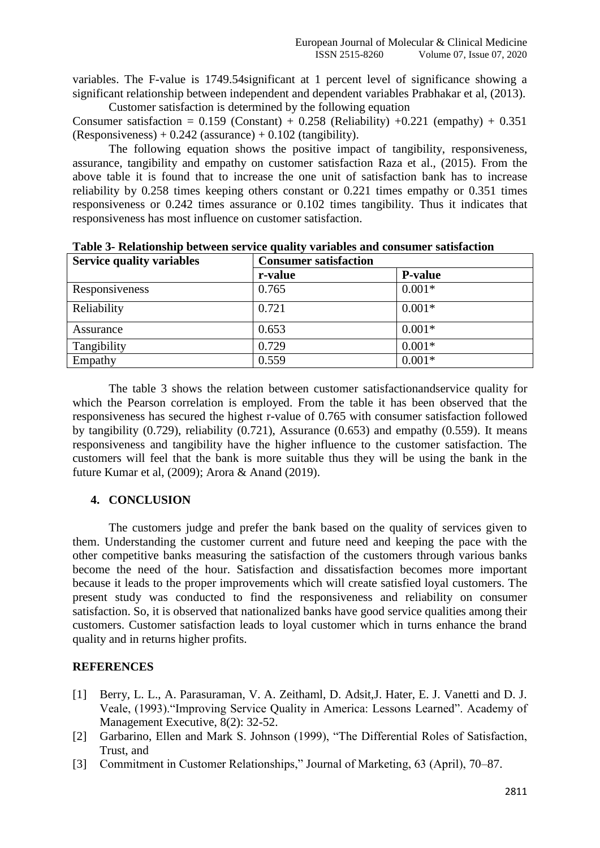variables. The F-value is 1749.54significant at 1 percent level of significance showing a significant relationship between independent and dependent variables Prabhakar et al, (2013). Customer satisfaction is determined by the following equation

Consumer satisfaction =  $0.159$  (Constant) +  $0.258$  (Reliability) +0.221 (empathy) +  $0.351$  $(Responses) + 0.242$  (assurance) + 0.102 (tangibility).

The following equation shows the positive impact of tangibility, responsiveness, assurance, tangibility and empathy on customer satisfaction Raza et al., (2015). From the above table it is found that to increase the one unit of satisfaction bank has to increase reliability by 0.258 times keeping others constant or 0.221 times empathy or 0.351 times responsiveness or 0.242 times assurance or 0.102 times tangibility. Thus it indicates that responsiveness has most influence on customer satisfaction.

| <b>Service quality variables</b> | <b>Consumer satisfaction</b> |                |  |
|----------------------------------|------------------------------|----------------|--|
|                                  | r-value                      | <b>P-value</b> |  |
| Responsiveness                   | 0.765                        | $0.001*$       |  |
| Reliability                      | 0.721                        | $0.001*$       |  |
| Assurance                        | 0.653                        | $0.001*$       |  |
| Tangibility                      | 0.729                        | $0.001*$       |  |
| Empathy                          | 0.559                        | $0.001*$       |  |

**Table 3- Relationship between service quality variables and consumer satisfaction** 

The table 3 shows the relation between customer satisfactionandservice quality for which the Pearson correlation is employed. From the table it has been observed that the responsiveness has secured the highest r-value of 0.765 with consumer satisfaction followed by tangibility  $(0.729)$ , reliability  $(0.721)$ , Assurance  $(0.653)$  and empathy  $(0.559)$ . It means responsiveness and tangibility have the higher influence to the customer satisfaction. The customers will feel that the bank is more suitable thus they will be using the bank in the future Kumar et al, (2009); Arora & Anand (2019).

#### **4. CONCLUSION**

The customers judge and prefer the bank based on the quality of services given to them. Understanding the customer current and future need and keeping the pace with the other competitive banks measuring the satisfaction of the customers through various banks become the need of the hour. Satisfaction and dissatisfaction becomes more important because it leads to the proper improvements which will create satisfied loyal customers. The present study was conducted to find the responsiveness and reliability on consumer satisfaction. So, it is observed that nationalized banks have good service qualities among their customers. Customer satisfaction leads to loyal customer which in turns enhance the brand quality and in returns higher profits.

## **REFERENCES**

- [1] Berry, L. L., A. Parasuraman, V. A. Zeithaml, D. Adsit, J. Hater, E. J. Vanetti and D. J. Veale, (1993)."Improving Service Quality in America: Lessons Learned". Academy of Management Executive, 8(2): 32-52.
- [2] Garbarino, Ellen and Mark S. Johnson (1999), "The Differential Roles of Satisfaction, Trust, and
- [3] Commitment in Customer Relationships," Journal of Marketing, 63 (April), 70–87.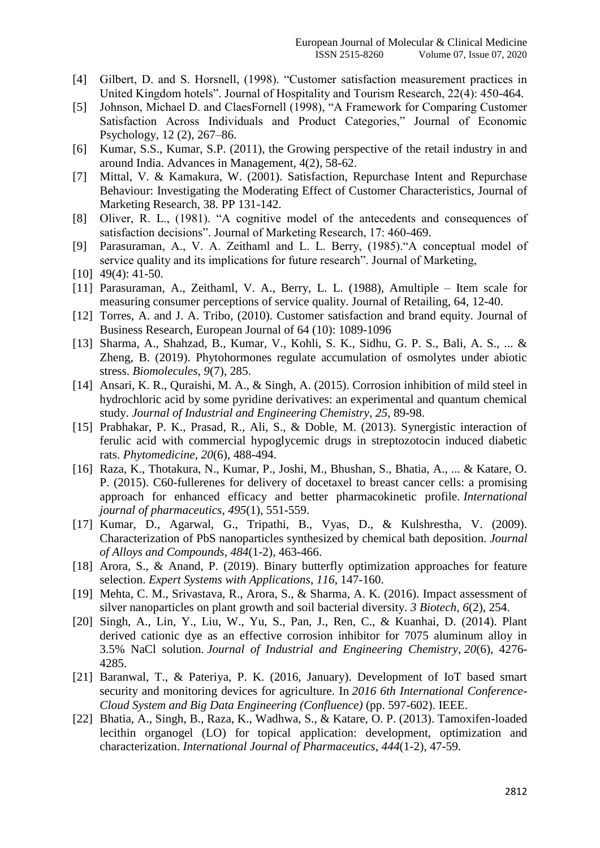- [4] Gilbert, D. and S. Horsnell, (1998). "Customer satisfaction measurement practices in United Kingdom hotels". Journal of Hospitality and Tourism Research, 22(4): 450-464.
- [5] Johnson, Michael D. and ClaesFornell (1998), "A Framework for Comparing Customer Satisfaction Across Individuals and Product Categories," Journal of Economic Psychology, 12 (2), 267–86.
- [6] Kumar, S.S., Kumar, S.P. (2011), the Growing perspective of the retail industry in and around India. Advances in Management, 4(2), 58-62.
- [7] Mittal, V. & Kamakura, W. (2001). Satisfaction, Repurchase Intent and Repurchase Behaviour: Investigating the Moderating Effect of Customer Characteristics, Journal of Marketing Research, 38. PP 131-142.
- [8] Oliver, R. L., (1981). "A cognitive model of the antecedents and consequences of satisfaction decisions". Journal of Marketing Research, 17: 460-469.
- [9] Parasuraman, A., V. A. Zeithaml and L. L. Berry, (1985)."A conceptual model of service quality and its implications for future research". Journal of Marketing,
- [10] 49(4): 41-50.
- [11] Parasuraman, A., Zeithaml, V. A., Berry, L. L. (1988), Amultiple Item scale for measuring consumer perceptions of service quality. Journal of Retailing, 64, 12-40.
- [12] Torres, A. and J. A. Tribo, (2010). Customer satisfaction and brand equity. Journal of Business Research, European Journal of 64 (10): 1089-1096
- [13] Sharma, A., Shahzad, B., Kumar, V., Kohli, S. K., Sidhu, G. P. S., Bali, A. S., ... & Zheng, B. (2019). Phytohormones regulate accumulation of osmolytes under abiotic stress. *Biomolecules*, *9*(7), 285.
- [14] Ansari, K. R., Quraishi, M. A., & Singh, A. (2015). Corrosion inhibition of mild steel in hydrochloric acid by some pyridine derivatives: an experimental and quantum chemical study. *Journal of Industrial and Engineering Chemistry*, *25*, 89-98.
- [15] Prabhakar, P. K., Prasad, R., Ali, S., & Doble, M. (2013). Synergistic interaction of ferulic acid with commercial hypoglycemic drugs in streptozotocin induced diabetic rats. *Phytomedicine*, *20*(6), 488-494.
- [16] Raza, K., Thotakura, N., Kumar, P., Joshi, M., Bhushan, S., Bhatia, A., ... & Katare, O. P. (2015). C60-fullerenes for delivery of docetaxel to breast cancer cells: a promising approach for enhanced efficacy and better pharmacokinetic profile. *International journal of pharmaceutics*, *495*(1), 551-559.
- [17] Kumar, D., Agarwal, G., Tripathi, B., Vyas, D., & Kulshrestha, V. (2009). Characterization of PbS nanoparticles synthesized by chemical bath deposition. *Journal of Alloys and Compounds*, *484*(1-2), 463-466.
- [18] Arora, S., & Anand, P. (2019). Binary butterfly optimization approaches for feature selection. *Expert Systems with Applications*, *116*, 147-160.
- [19] Mehta, C. M., Srivastava, R., Arora, S., & Sharma, A. K. (2016). Impact assessment of silver nanoparticles on plant growth and soil bacterial diversity. *3 Biotech*, *6*(2), 254.
- [20] Singh, A., Lin, Y., Liu, W., Yu, S., Pan, J., Ren, C., & Kuanhai, D. (2014). Plant derived cationic dye as an effective corrosion inhibitor for 7075 aluminum alloy in 3.5% NaCl solution. *Journal of Industrial and Engineering Chemistry*, *20*(6), 4276- 4285.
- [21] Baranwal, T., & Pateriya, P. K. (2016, January). Development of IoT based smart security and monitoring devices for agriculture. In *2016 6th International Conference-Cloud System and Big Data Engineering (Confluence)* (pp. 597-602). IEEE.
- [22] Bhatia, A., Singh, B., Raza, K., Wadhwa, S., & Katare, O. P. (2013). Tamoxifen-loaded lecithin organogel (LO) for topical application: development, optimization and characterization. *International Journal of Pharmaceutics*, *444*(1-2), 47-59.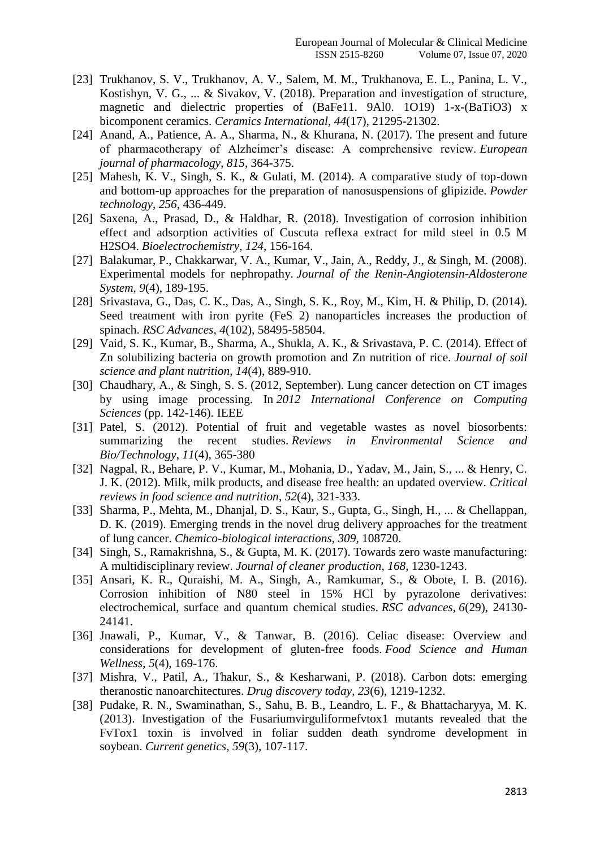- [23] Trukhanov, S. V., Trukhanov, A. V., Salem, M. M., Trukhanova, E. L., Panina, L. V., Kostishyn, V. G., ... & Sivakov, V. (2018). Preparation and investigation of structure, magnetic and dielectric properties of (BaFe11. 9Al0. 1O19) 1-x-(BaTiO3) x bicomponent ceramics. *Ceramics International*, *44*(17), 21295-21302.
- [24] Anand, A., Patience, A. A., Sharma, N., & Khurana, N. (2017). The present and future of pharmacotherapy of Alzheimer's disease: A comprehensive review. *European journal of pharmacology*, *815*, 364-375.
- [25] Mahesh, K. V., Singh, S. K., & Gulati, M. (2014). A comparative study of top-down and bottom-up approaches for the preparation of nanosuspensions of glipizide. *Powder technology*, *256*, 436-449.
- [26] Saxena, A., Prasad, D., & Haldhar, R. (2018). Investigation of corrosion inhibition effect and adsorption activities of Cuscuta reflexa extract for mild steel in 0.5 M H2SO4. *Bioelectrochemistry*, *124*, 156-164.
- [27] Balakumar, P., Chakkarwar, V. A., Kumar, V., Jain, A., Reddy, J., & Singh, M. (2008). Experimental models for nephropathy. *Journal of the Renin-Angiotensin-Aldosterone System*, *9*(4), 189-195.
- [28] Srivastava, G., Das, C. K., Das, A., Singh, S. K., Roy, M., Kim, H. & Philip, D. (2014). Seed treatment with iron pyrite (FeS 2) nanoparticles increases the production of spinach. *RSC Advances*, *4*(102), 58495-58504.
- [29] Vaid, S. K., Kumar, B., Sharma, A., Shukla, A. K., & Srivastava, P. C. (2014). Effect of Zn solubilizing bacteria on growth promotion and Zn nutrition of rice. *Journal of soil science and plant nutrition*, *14*(4), 889-910.
- [30] Chaudhary, A., & Singh, S. S. (2012, September). Lung cancer detection on CT images by using image processing. In *2012 International Conference on Computing Sciences* (pp. 142-146). IEEE
- [31] Patel, S. (2012). Potential of fruit and vegetable wastes as novel biosorbents: summarizing the recent studies. *Reviews in Environmental Science and Bio/Technology*, *11*(4), 365-380
- [32] Nagpal, R., Behare, P. V., Kumar, M., Mohania, D., Yadav, M., Jain, S., ... & Henry, C. J. K. (2012). Milk, milk products, and disease free health: an updated overview. *Critical reviews in food science and nutrition*, *52*(4), 321-333.
- [33] Sharma, P., Mehta, M., Dhanjal, D. S., Kaur, S., Gupta, G., Singh, H., ... & Chellappan, D. K. (2019). Emerging trends in the novel drug delivery approaches for the treatment of lung cancer. *Chemico-biological interactions*, *309*, 108720.
- [34] Singh, S., Ramakrishna, S., & Gupta, M. K. (2017). Towards zero waste manufacturing: A multidisciplinary review. *Journal of cleaner production*, *168*, 1230-1243.
- [35] Ansari, K. R., Quraishi, M. A., Singh, A., Ramkumar, S., & Obote, I. B. (2016). Corrosion inhibition of N80 steel in 15% HCl by pyrazolone derivatives: electrochemical, surface and quantum chemical studies. *RSC advances*, *6*(29), 24130- 24141.
- [36] Jnawali, P., Kumar, V., & Tanwar, B. (2016). Celiac disease: Overview and considerations for development of gluten-free foods. *Food Science and Human Wellness*, *5*(4), 169-176.
- [37] Mishra, V., Patil, A., Thakur, S., & Kesharwani, P. (2018). Carbon dots: emerging theranostic nanoarchitectures. *Drug discovery today*, *23*(6), 1219-1232.
- [38] Pudake, R. N., Swaminathan, S., Sahu, B. B., Leandro, L. F., & Bhattacharyya, M. K. (2013). Investigation of the Fusariumvirguliformefvtox1 mutants revealed that the FvTox1 toxin is involved in foliar sudden death syndrome development in soybean. *Current genetics*, *59*(3), 107-117.